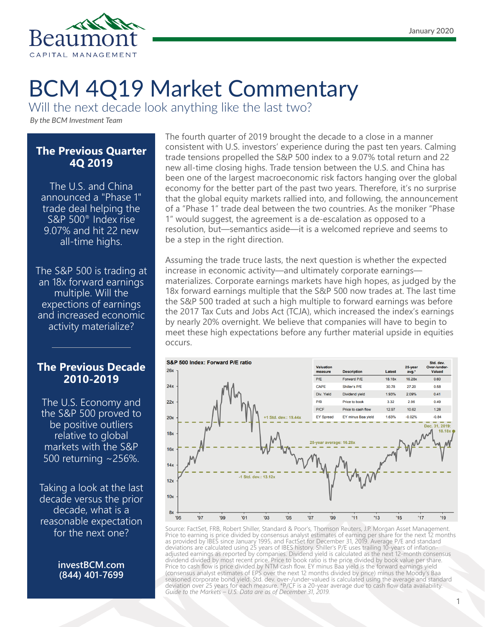

# BCM 4Q19 Market Commentary

Will the next decade look anything like the last two?

*By the BCM Investment Team*

### **The Previous Quarter 4Q 2019**

The U.S. and China announced a "Phase 1" trade deal helping the S&P 500® Index rise 9.07% and hit 22 new all-time highs.

The S&P 500 is trading at an 18x forward earnings multiple. Will the expections of earnings and increased economic activity materialize?

## **The Previous Decade 2010-2019**

The U.S. Economy and the S&P 500 proved to be positive outliers relative to global markets with the S&P 500 returning ~256%.

Taking a look at the last decade versus the prior decade, what is a reasonable expectation for the next one?

> **investBCM.com (844) 401-7699**

The fourth quarter of 2019 brought the decade to a close in a manner consistent with U.S. investors' experience during the past ten years. Calming trade tensions propelled the S&P 500 index to a 9.07% total return and 22 new all-time closing highs. Trade tension between the U.S. and China has been one of the largest macroeconomic risk factors hanging over the global economy for the better part of the past two years. Therefore, it's no surprise that the global equity markets rallied into, and following, the announcement of a "Phase 1" trade deal between the two countries. As the moniker "Phase 1" would suggest, the agreement is a de-escalation as opposed to a resolution, but—semantics aside—it is a welcomed reprieve and seems to be a step in the right direction.

Assuming the trade truce lasts, the next question is whether the expected increase in economic activity—and ultimately corporate earnings materializes. Corporate earnings markets have high hopes, as judged by the 18x forward earnings multiple that the S&P 500 now trades at. The last time the S&P 500 traded at such a high multiple to forward earnings was before the 2017 Tax Cuts and Jobs Act (TCJA), which increased the index's earnings by nearly 20% overnight. We believe that companies will have to begin to meet these high expectations before any further material upside in equities occurs.



Source: FactSet, FRB, Robert Shiller, Standard & Poor's, Thomson Reuters, J.P. Morgan Asset Management. Price to earning is price divided by consensus analyst estimates of earning per share for the next 12 months as provided by IBES since January 1995, and FactSet for December 31, 2019. Average P/E and standard deviations are calculated using 25 years of IBES history. Shiller's P/E uses trailing 10-years of inflationadjusted earnings as reported by companies. Dividend yield is calculated as the next 12-month consensus dividend divided by most recent price. Price to book ratio is the price divided by book value per share. Price to cash flow is price divided by NTM cash flow. EY minus Baa yield is the forward earnings yield (consensus analyst estimates of EPS over the next 12 months divided by price) minus the Moody's Baa seasoned corporate bond yield. Std. dev. over-/under-valued is calculated using the average and standard deviation over 25 years for each measure. \*P/CF is a 20-year average due to cash flow data availability. *Guide to the Markets – U.S. Data are as of December 31, 2019.*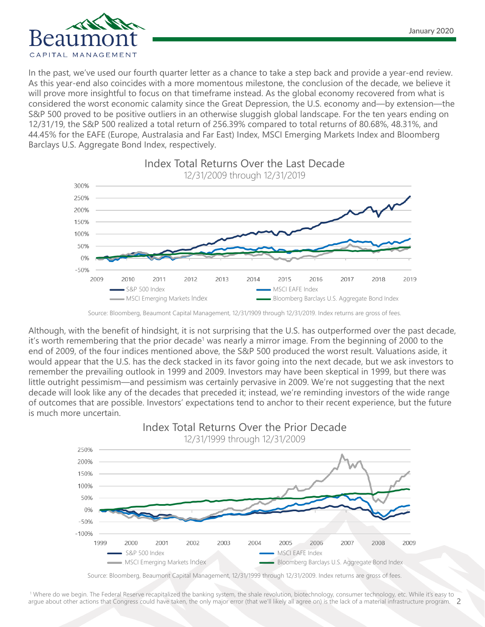

In the past, we've used our fourth quarter letter as a chance to take a step back and provide a year-end review. As this year-end also coincides with a more momentous milestone, the conclusion of the decade, we believe it will prove more insightful to focus on that timeframe instead. As the global economy recovered from what is considered the worst economic calamity since the Great Depression, the U.S. economy and—by extension—the S&P 500 proved to be positive outliers in an otherwise sluggish global landscape. For the ten years ending on 12/31/19, the S&P 500 realized a total return of 256.39% compared to total returns of 80.68%, 48.31%, and 44.45% for the EAFE (Europe, Australasia and Far East) Index, MSCI Emerging Markets Index and Bloomberg Barclays U.S. Aggregate Bond Index, respectively.



Source: Bloomberg, Beaumont Capital Management, 12/31/1909 through 12/31/2019. Index returns are gross of fees.

Although, with the benefit of hindsight, it is not surprising that the U.S. has outperformed over the past decade, it's worth remembering that the prior decade<sup>1</sup> was nearly a mirror image. From the beginning of 2000 to the end of 2009, of the four indices mentioned above, the S&P 500 produced the worst result. Valuations aside, it would appear that the U.S. has the deck stacked in its favor going into the next decade, but we ask investors to remember the prevailing outlook in 1999 and 2009. Investors may have been skeptical in 1999, but there was little outright pessimism—and pessimism was certainly pervasive in 2009. We're not suggesting that the next decade will look like any of the decades that preceded it; instead, we're reminding investors of the wide range of outcomes that are possible. Investors' expectations tend to anchor to their recent experience, but the future is much more uncertain.



Source: Bloomberg, Beaumont Capital Management, 12/31/1999 through 12/31/2009. Index returns are gross of fees.

2 1 Where do we begin. The Federal Reserve recapitalized the banking system, the shale revolution, biotechnology, consumer technology, etc. While it's easy to argue about other actions that Congress could have taken, the only major error (that we'll likely all agree on) is the lack of a material infrastructure program.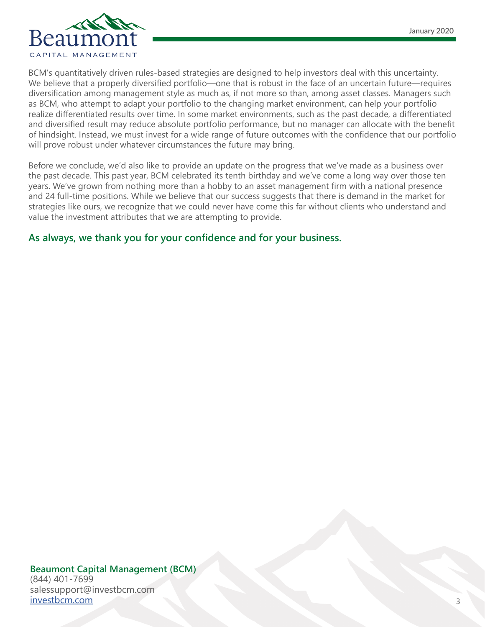

BCM's quantitatively driven rules-based strategies are designed to help investors deal with this uncertainty. We believe that a properly diversified portfolio—one that is robust in the face of an uncertain future—requires diversification among management style as much as, if not more so than, among asset classes. Managers such as BCM, who attempt to adapt your portfolio to the changing market environment, can help your portfolio realize differentiated results over time. In some market environments, such as the past decade, a differentiated and diversified result may reduce absolute portfolio performance, but no manager can allocate with the benefit of hindsight. Instead, we must invest for a wide range of future outcomes with the confidence that our portfolio will prove robust under whatever circumstances the future may bring.

Before we conclude, we'd also like to provide an update on the progress that we've made as a business over the past decade. This past year, BCM celebrated its tenth birthday and we've come a long way over those ten years. We've grown from nothing more than a hobby to an asset management firm with a national presence and 24 full-time positions. While we believe that our success suggests that there is demand in the market for strategies like ours, we recognize that we could never have come this far without clients who understand and value the investment attributes that we are attempting to provide.

#### **As always, we thank you for your confidence and for your business.**

**Beaumont Capital Management (BCM)** (844) 401-7699 salessupport@investbcm.com [investbcm.com](http://investbcm.com )